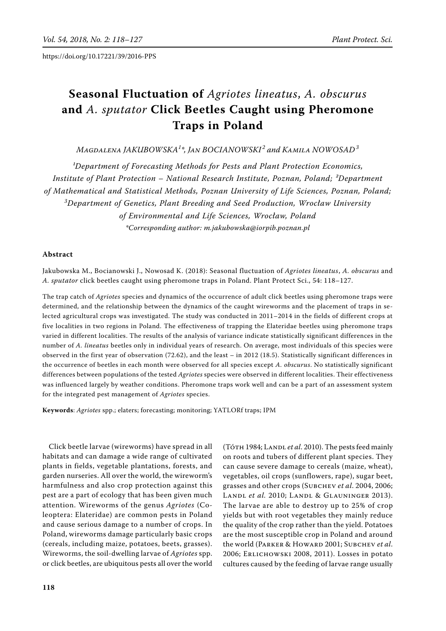# **Seasonal Fluctuation of** *Agriotes lineatus*, *A. obscurus*  **and** *A. sputator* **Click Beetles Caught using Pheromone Traps in Poland**

*Magdalena Jakubowska<sup>1</sup> \*, Jan Bocianowski <sup>2</sup> and Kamila Nowosad<sup>3</sup>*

<sup>*l*</sup>Department of Forecasting Methods for Pests and Plant Protection Economics, *Institute of Plant Protection – National Research Institute, Poznan, Poland; ²Department of Mathematical and Statistical Methods, Poznan University of Life Sciences, Poznan, Poland; 3 Department of Genetics, Plant Breeding and Seed Production, Wrocław University of Environmental and Life Sciences, Wrocław, Poland \*Corresponding author: m.jakubowska@iorpib.poznan.pl*

## **Abstract**

Jakubowska M., Bocianowski J., Nowosad K. (2018): Seasonal fluctuation of *Agriotes lineatus*, *A. obscurus* and *A. sputator* click beetles caught using pheromone traps in Poland. Plant Protect Sci., 54: 118–127.

The trap catch of *Agriotes* species and dynamics of the occurrence of adult click beetles using pheromone traps were determined, and the relationship between the dynamics of the caught wireworms and the placement of traps in selected agricultural crops was investigated. The study was conducted in 2011–2014 in the fields of different crops at five localities in two regions in Poland. The effectiveness of trapping the Elateridae beetles using pheromone traps varied in different localities. The results of the analysis of variance indicate statistically significant differences in the number of *A. lineatus* beetles only in individual years of research. On average, most individuals of this species were observed in the first year of observation (72.62), and the least – in 2012 (18.5). Statistically significant differences in the occurrence of beetles in each month were observed for all species except *A. obscurus*. No statistically significant differences between populations of the tested *Agriotes* species were observed in different localities. Their effectiveness was influenced largely by weather conditions. Pheromone traps work well and can be a part of an assessment system for the integrated pest management of *Agriotes* species.

Keywords: *Agriotes* spp.; elaters; forecasting; monitoring; YATLORf traps; IPM

Click beetle larvae (wireworms) have spread in all habitats and can damage a wide range of cultivated plants in fields, vegetable plantations, forests, and garden nurseries. All over the world, the wireworm's harmfulness and also crop protection against this pest are a part of ecology that has been given much attention. Wireworms of the genus *Agriotes* (Coleoptera: Elateridae) are common pests in Poland and cause serious damage to a number of crops. In Poland, wireworms damage particularly basic crops (cereals, including maize, potatoes, beets, grasses). Wireworms, the soil-dwelling larvae of *Agriotes* spp. or click beetles, are ubiquitous pests all over the world

(Tóth 1984; Landl *et al*. 2010). The pests feed mainly on roots and tubers of different plant species. They can cause severe damage to cereals (maize, wheat), vegetables, oil crops (sunflowers, rape), sugar beet, grasses and other crops (Subchev *et al*. 2004, 2006; Landl *et al.* 2010; Landl & Glauninger 2013). The larvae are able to destroy up to 25% of crop yields but with root vegetables they mainly reduce the quality of the crop rather than the yield. Potatoes are the most susceptible crop in Poland and around the world (PARKER & HOWARD 2001; SUBCHEV *et al.* 2006; Erlichowski 2008, 2011). Losses in potato cultures caused by the feeding of larvae range usually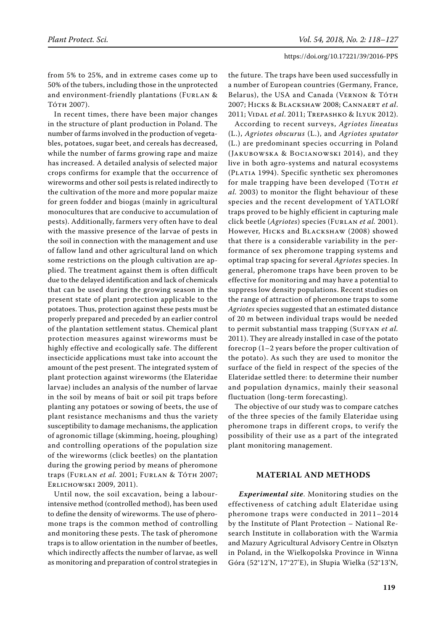from 5% to 25%, and in extreme cases come up to 50% of the tubers, including those in the unprotected and environment-friendly plantations (FURLAN & Tóth 2007).

In recent times, there have been major changes in the structure of plant production in Poland. The number of farms involved in the production of vegetables, potatoes, sugar beet, and cereals has decreased, while the number of farms growing rape and maize has increased. A detailed analysis of selected major crops confirms for example that the occurrence of wireworms and other soil pests is related indirectly to the cultivation of the more and more popular maize for green fodder and biogas (mainly in agricultural monocultures that are conducive to accumulation of pests). Additionally, farmers very often have to deal with the massive presence of the larvae of pests in the soil in connection with the management and use of fallow land and other agricultural land on which some restrictions on the plough cultivation are applied. The treatment against them is often difficult due to the delayed identification and lack of chemicals that can be used during the growing season in the present state of plant protection applicable to the potatoes. Thus, protection against these pests must be properly prepared and preceded by an earlier control of the plantation settlement status. Chemical plant protection measures against wireworms must be highly effective and ecologically safe. The different insecticide applications must take into account the amount of the pest present. The integrated system of plant protection against wireworms (the Elateridae larvae) includes an analysis of the number of larvae in the soil by means of bait or soil pit traps before planting any potatoes or sowing of beets, the use of plant resistance mechanisms and thus the variety susceptibility to damage mechanisms, the application of agronomic tillage (skimming, hoeing, ploughing) and controlling operations of the population size of the wireworms (click beetles) on the plantation during the growing period by means of pheromone traps (Furlan *et al.* 2001; Furlan & Tóth 2007; Erlichowski 2009, 2011).

Until now, the soil excavation, being a labourintensive method (controlled method), has been used to define the density of wireworms. The use of pheromone traps is the common method of controlling and monitoring these pests. The task of pheromone traps is to allow orientation in the number of beetles, which indirectly affects the number of larvae, as well as monitoring and preparation of control strategies in the future. The traps have been used successfully in a number of European countries (Germany, France, Belarus), the USA and Canada (VERNON & TÓTH 2007; Hicks & Blackshaw 2008; Cannaert *et al*. 2011; Vidal *et al*. 2011; Trepashko & Ilyuk 2012).

According to recent surveys, *Agriotes lineatus*  (L.), *Agriotes obscurus* (L.), and *Agriotes sputator* (L.) are predominant species occurring in Poland (Jakubowska & Bocianowski 2014), and they live in both agro-systems and natural ecosystems (PLATIA 1994). Specific synthetic sex pheromones for male trapping have been developed (TOTH *et al.* 2003) to monitor the flight behaviour of these species and the recent development of YATLORf traps proved to be highly efficient in capturing male click beetle (*Agriotes*) species (Furlan *et al.* 2001). However, Hicks and Blackshaw (2008) showed that there is a considerable variability in the performance of sex pheromone trapping systems and optimal trap spacing for several *Agriotes* species. In general, pheromone traps have been proven to be effective for monitoring and may have a potential to suppress low density populations. Recent studies on the range of attraction of pheromone traps to some *Agriotes* species suggested that an estimated distance of 20 m between individual traps would be needed to permit substantial mass trapping (SUFYAN et al. 2011). They are already installed in case of the potato forecrop (1–2 years before the proper cultivation of the potato). As such they are used to monitor the surface of the field in respect of the species of the Elateridae settled there: to determine their number and population dynamics, mainly their seasonal fluctuation (long-term forecasting).

The objective of our study was to compare catches of the three species of the family Elateridae using pheromone traps in different crops, to verify the possibility of their use as a part of the integrated plant monitoring management.

## **material and methods**

*Experimental site*. Monitoring studies on the effectiveness of catching adult Elateridae using pheromone traps were conducted in 2011–2014 by the Institute of Plant Protection – National Research Institute in collaboration with the Warmia and Mazury Agricultural Advisory Centre in Olsztyn in Poland, in the Wielkopolska Province in Winna Góra (52°12'N, 17°27'E), in Słupia Wielka (52°13'N,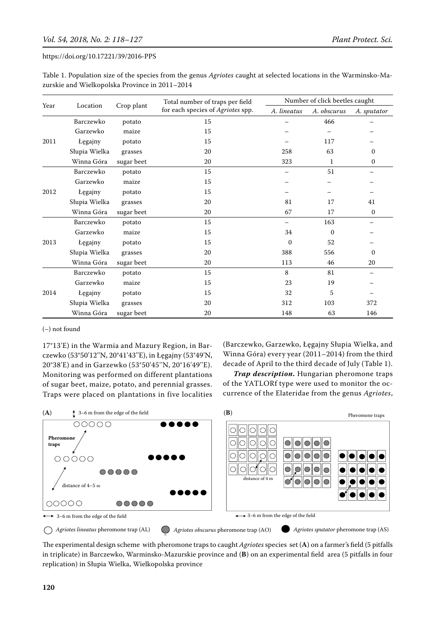| Table 1. Population size of the species from the genus Agriotes caught at selected locations in the Warminsko-Ma- |  |  |
|-------------------------------------------------------------------------------------------------------------------|--|--|
| zurskie and Wielkopolska Province in 2011-2014                                                                    |  |  |

|            |                        | Total number of traps per field | Number of click beetles caught    |             |              |              |
|------------|------------------------|---------------------------------|-----------------------------------|-------------|--------------|--------------|
| Year       | Crop plant<br>Location |                                 | for each species of Agriotes spp. | A. lineatus | A. obscurus  | A. sputator  |
|            | Barczewko              | potato                          | 15                                |             | 466          |              |
|            | Garzewko               | maize                           | 15                                |             |              |              |
| 2011       | Łęgajny                | potato                          | 15                                |             | 117          |              |
|            | Słupia Wielka          | grasses                         | 20                                | 258         | 63           | $\mathbf{0}$ |
|            | Winna Góra             | sugar beet                      | 20                                | 323         | 1            | $\mathbf{0}$ |
|            | Barczewko              | potato                          | 15                                |             | 51           |              |
|            | Garzewko               | maize                           | 15                                |             |              |              |
| 2012       | Łęgajny                | potato                          | 15                                |             |              |              |
| Winna Góra | Słupia Wielka          | grasses                         | 20                                | 81          | 17           | 41           |
|            | sugar beet             | 20                              | 67                                | 17          | $\mathbf{0}$ |              |
|            | Barczewko              | potato                          | 15                                |             | 163          |              |
|            | Garzewko               | maize                           | 15                                | 34          | $\mathbf{0}$ |              |
| 2013       | Łęgajny                | potato                          | 15                                | $\Omega$    | 52           |              |
|            | Słupia Wielka          | grasses                         | 20                                | 388         | 556          | $\Omega$     |
|            | Winna Góra             | sugar beet                      | 20                                | 113         | 46           | 20           |
|            | Barczewko              | potato                          | 15                                | 8           | 81           |              |
|            | Garzewko               | maize                           | 15                                | 23          | 19           |              |
| 2014       | Łęgajny                | potato                          | 15                                | 32          | 5            |              |
|            | Słupia Wielka          | grasses                         | 20                                | 312         | 103          | 372          |
|            | Winna Góra             | sugar beet                      | 20                                | 148         | 63           | 146          |

(–) not found

17°13'E) in the Warmia and Mazury Region, in Barczewko (53°50'12''N, 20°41'43''E), in Łęgajny (53°49'N, 20°38'E) and in Garzewko (53°50'45''N, 20°16'49''E). Monitoring was performed on different plantations of sugar beet, maize, potato, and perennial grasses. Traps were placed on plantations in five localities

(Barczewko, Garzewko, Łęgajny Słupia Wielka, and Winna Góra) every year (2011–2014) from the third decade of April to the third decade of July (Table 1).

*Trap description***.** Hungarian pheromone traps of the YATLORf type were used to monitor the occurrence of the Elateridae from the genus *Agriotes*,



The experimental design scheme with pheromone traps to caught  $A$ griotes species set  $(A)$  on a farmer's field (5 pitfalls in triplicate) in Barczewko, Warminsko-Mazurskie province and (B) on an experimental field area (5 pitfalls in four replication) in Słupia Wielka, Wielkopolska province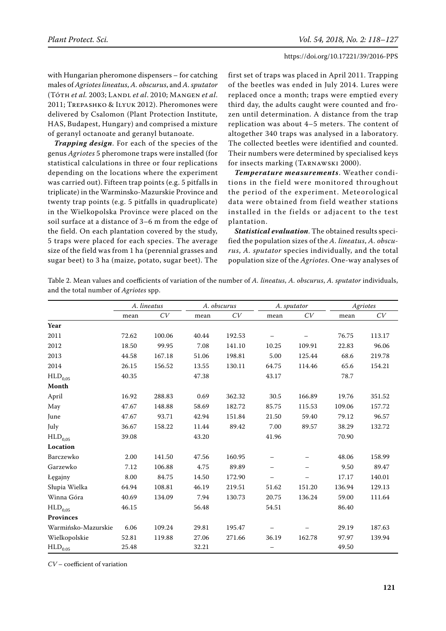with Hungarian pheromone dispensers – for catching males of *Agriotes lineatus*, *A. obscurus*, and *A. sputator* (Tóth *et al.* 2003; Landl *et al*. 2010; Mangen *et al*. 2011; Trepashko & Ilyuk 2012). Pheromones were delivered by Csalomon (Plant Protection Institute, HAS, Budapest, Hungary) and comprised a mixture of geranyl octanoate and geranyl butanoate.

*Trapping design*. For each of the species of the genus *Agriotes* 5 pheromone traps were installed (for statistical calculations in three or four replications depending on the locations where the experiment was carried out). Fifteen trap points (e.g. 5 pitfalls in triplicate) in the Warminsko-Mazurskie Province and twenty trap points (e.g. 5 pitfalls in quadruplicate) in the Wielkopolska Province were placed on the soil surface at a distance of 3–6 m from the edge of the field. On each plantation covered by the study, 5 traps were placed for each species. The average size of the field was from 1 ha (perennial grasses and sugar beet) to 3 ha (maize, potato, sugar beet). The first set of traps was placed in April 2011. Trapping of the beetles was ended in July 2014. Lures were replaced once a month; traps were emptied every third day, the adults caught were counted and frozen until determination. A distance from the trap replication was about 4–5 meters. The content of altogether 340 traps was analysed in a laboratory. The collected beetles were identified and counted. Their numbers were determined by specialised keys for insects marking (Tarnawski 2000).

*Temperature measurements*. Weather conditions in the field were monitored throughout the period of the experiment. Meteorological data were obtained from field weather stations installed in the fields or adjacent to the test plantation.

*Statistical evaluation*. The obtained results specified the population sizes of the *A. lineatus*, *A. obscurus*, *A. sputator* species individually, and the total population size of the *Agriotes*. One-way analyses of

Table 2. Mean values and coefficients of variation of the number of *A. lineatus*, *A. obscurus*, *A. sputator* individuals, and the total number of *Agriotes* spp.

|                       | A. lineatus |        |       | A. obscurus |       | A. sputator |        | Agriotes |  |
|-----------------------|-------------|--------|-------|-------------|-------|-------------|--------|----------|--|
|                       | mean        | CV     | mean  | CV          | mean  | CV          | mean   | CV       |  |
| Year                  |             |        |       |             |       |             |        |          |  |
| 2011                  | 72.62       | 100.06 | 40.44 | 192.53      |       |             | 76.75  | 113.17   |  |
| 2012                  | 18.50       | 99.95  | 7.08  | 141.10      | 10.25 | 109.91      | 22.83  | 96.06    |  |
| 2013                  | 44.58       | 167.18 | 51.06 | 198.81      | 5.00  | 125.44      | 68.6   | 219.78   |  |
| 2014                  | 26.15       | 156.52 | 13.55 | 130.11      | 64.75 | 114.46      | 65.6   | 154.21   |  |
| $\mathrm{HLD}_{0,05}$ | 40.35       |        | 47.38 |             | 43.17 |             | 78.7   |          |  |
| Month                 |             |        |       |             |       |             |        |          |  |
| April                 | 16.92       | 288.83 | 0.69  | 362.32      | 30.5  | 166.89      | 19.76  | 351.52   |  |
| May                   | 47.67       | 148.88 | 58.69 | 182.72      | 85.75 | 115.53      | 109.06 | 157.72   |  |
| June                  | 47.67       | 93.71  | 42.94 | 151.84      | 21.50 | 59.40       | 79.12  | 96.57    |  |
| July                  | 36.67       | 158.22 | 11.44 | 89.42       | 7.00  | 89.57       | 38.29  | 132.72   |  |
| $\rm{HLD}_{0.05}$     | 39.08       |        | 43.20 |             | 41.96 |             | 70.90  |          |  |
| Location              |             |        |       |             |       |             |        |          |  |
| Barczewko             | 2.00        | 141.50 | 47.56 | 160.95      |       |             | 48.06  | 158.99   |  |
| Garzewko              | 7.12        | 106.88 | 4.75  | 89.89       |       |             | 9.50   | 89.47    |  |
| Łęgajny               | 8.00        | 84.75  | 14.50 | 172.90      |       |             | 17.17  | 140.01   |  |
| Słupia Wielka         | 64.94       | 108.81 | 46.19 | 219.51      | 51.62 | 151.20      | 136.94 | 129.13   |  |
| Winna Góra            | 40.69       | 134.09 | 7.94  | 130.73      | 20.75 | 136.24      | 59.00  | 111.64   |  |
| $\mathrm{HLD}_{0,05}$ | 46.15       |        | 56.48 |             | 54.51 |             | 86.40  |          |  |
| <b>Provinces</b>      |             |        |       |             |       |             |        |          |  |
| Warmińsko-Mazurskie   | 6.06        | 109.24 | 29.81 | 195.47      |       |             | 29.19  | 187.63   |  |
| Wielkopolskie         | 52.81       | 119.88 | 27.06 | 271.66      | 36.19 | 162.78      | 97.97  | 139.94   |  |
| $\rm{HLD_{0.05}}$     | 25.48       |        | 32.21 |             |       |             | 49.50  |          |  |

*CV* – coefficient of variation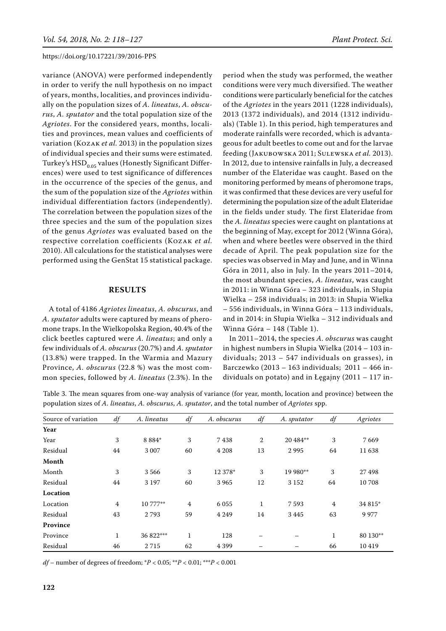variance (ANOVA) were performed independently in order to verify the null hypothesis on no impact of years, months, localities, and provinces individually on the population sizes of *A. lineatus*, *A. obscurus*, *A. sputator* and the total population size of the *Agriotes*. For the considered years, months, localities and provinces, mean values and coefficients of variation (Kozak *et al.* 2013) in the population sizes of individual species and their sums were estimated. Turkey's  $HSD<sub>0.05</sub>$  values (Honestly Significant Differences) were used to test significance of differences in the occurrence of the species of the genus, and the sum of the population size of the *Agriotes* within individual differentiation factors (independently). The correlation between the population sizes of the three species and the sum of the population sizes of the genus *Agriotes* was evaluated based on the respective correlation coefficients (Kozak *et al.* 2010). All calculations for the statistical analyses were performed using the GenStat 15 statistical package.

#### **Results**

A total of 4186 *Agriotes lineatus*, *A. obscurus*, and *A. sputator* adults were captured by means of pheromone traps. In the Wielkopolska Region, 40.4% of the click beetles captured were *A. lineatus*; and only a few individuals of *A. obscurus* (20.7%) and *A. sputator* (13.8%) were trapped. In the Warmia and Mazury Province, *A. obscurus* (22.8 %) was the most common species, followed by *A. lineatus* (2.3%). In the period when the study was performed, the weather conditions were very much diversified. The weather conditions were particularly beneficial for the catches of the *Agriotes* in the years 2011 (1228 individuals), 2013 (1372 individuals), and 2014 (1312 individuals) (Table 1). In this period, high temperatures and moderate rainfalls were recorded, which is advantageous for adult beetles to come out and for the larvae feeding (Jakubowska 2011; Sulewska *et al.* 2013). In 2012, due to intensive rainfalls in July, a decreased number of the Elateridae was caught. Based on the monitoring performed by means of pheromone traps, it was confirmed that these devices are very useful for determining the population size of the adult Elateridae in the fields under study. The first Elateridae from the *A. lineatus* species were caught on plantations at the beginning of May, except for 2012 (Winna Góra), when and where beetles were observed in the third decade of April. The peak population size for the species was observed in May and June, and in Winna Góra in 2011, also in July. In the years 2011–2014, the most abundant species, *A. lineatus*, was caught in 2011: in Winna Góra – 323 individuals, in Słupia Wielka – 258 individuals; in 2013: in Słupia Wielka – 556 individuals, in Winna Góra – 113 individuals, and in 2014: in Słupia Wielka – 312 individuals and Winna Góra – 148 (Table 1).

In 2011–2014, the species *A. obscurus* was caught in highest numbers in Słupia Wielka (2014 – 103 individuals; 2013 – 547 individuals on grasses), in Barczewko (2013 – 163 individuals; 2011 – 466 individuals on potato) and in Łęgajny (2011 – 117 in-

Table 3. The mean squares from one-way analysis of variance (for year, month, location and province) between the population sizes of *A. lineatus*, *A. obscurus*, *A. sputator*, and the total number of *Agriotes* spp.

| Source of variation | df             | A. lineatus | df             | A. obscurus | df | A. sputator | df           | Agriotes |
|---------------------|----------------|-------------|----------------|-------------|----|-------------|--------------|----------|
| Year                |                |             |                |             |    |             |              |          |
| Year                | 3              | 8 8 8 4*    | 3              | 7438        | 2  | 20 484**    | 3            | 7669     |
| Residual            | 44             | 3 0 0 7     | 60             | 4 2 0 8     | 13 | 2995        | 64           | 11638    |
| Month               |                |             |                |             |    |             |              |          |
| Month               | 3              | 3566        | 3              | 12 378*     | 3  | 19 980**    | 3            | 27 498   |
| Residual            | 44             | 3 1 9 7     | 60             | 3965        | 12 | 3 1 5 2     | 64           | 10 708   |
| Location            |                |             |                |             |    |             |              |          |
| Location            | $\overline{4}$ | 10 777**    | $\overline{4}$ | 6 0 5 5     | 1  | 7593        | 4            | 34 815*  |
| Residual            | 43             | 2793        | 59             | 4 2 4 9     | 14 | 3445        | 63           | 9 9 7 7  |
| Province            |                |             |                |             |    |             |              |          |
| Province            | $\mathbf{1}$   | 36 822***   | $\mathbf{1}$   | 128         |    |             | $\mathbf{1}$ | 80 130** |
| Residual            | 46             | 2715        | 62             | 4 3 9 9     |    |             | 66           | 10419    |

*df* – number of degrees of freedom; \**P* < 0.05; \*\**P* < 0.01; \*\*\**P* < 0.001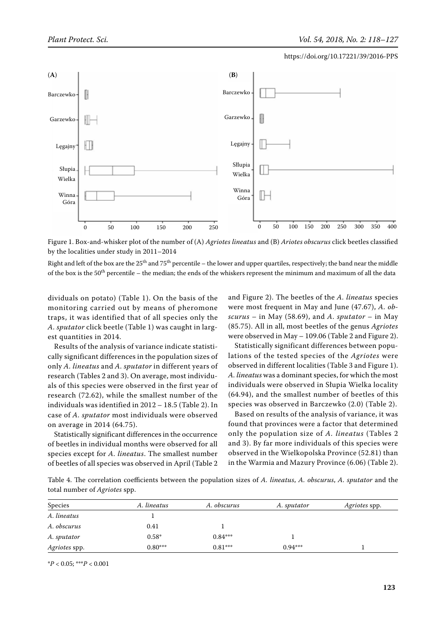

Figure 1. Box-and-whisker plot of the number of (A) *Agriotes lineatus* and (B) *Ariotes obscurus* click beetles classified by the localities under study in 2011–2014

Right and left of the box are the  $25^{th}$  and  $75^{th}$  percentile – the lower and upper quartiles, respectively; the band near the middle of the box is the 50th percentile – the median; the ends of the whiskers represent the minimum and maximum of all the data

dividuals on potato) (Table 1). On the basis of the monitoring carried out by means of pheromone traps, it was identified that of all species only the *A. sputator* click beetle (Table 1) was caught in largest quantities in 2014.

Results of the analysis of variance indicate statistically significant differences in the population sizes of only *A. lineatus* and *A. sputator* in different years of research (Tables 2 and 3). On average, most individuals of this species were observed in the first year of research (72.62), while the smallest number of the individuals was identified in 2012 – 18.5 (Table 2). In case of *A. sputator* most individuals were observed on average in 2014 (64.75).

Statistically significant differences in the occurrence of beetles in individual months were observed for all species except for *A. lineatus*. The smallest number of beetles of all species was observed in April (Table 2 and Figure 2). The beetles of the *A. lineatus* species were most frequent in May and June (47.67), *A. obscurus* – in May (58.69), and *A. sputator* – in May (85.75). All in all, most beetles of the genus *Agriotes*  were observed in May – 109.06 (Table 2 and Figure 2).

Statistically significant differences between populations of the tested species of the *Agriotes* were observed in different localities (Table 3 and Figure 1). *A. lineatus* was a dominant species, for which the most individuals were observed in Słupia Wielka locality (64.94), and the smallest number of beetles of this species was observed in Barczewko (2.0) (Table 2).

Based on results of the analysis of variance, it was found that provinces were a factor that determined only the population size of *A. lineatus* (Tables 2 and 3). By far more individuals of this species were observed in the Wielkopolska Province (52.81) than in the Warmia and Mazury Province (6.06) (Table 2).

Table 4. The correlation coefficients between the population sizes of *A. lineatus*, *A. obscurus*, *A. sputator* and the total number of *Agriotes* spp.

| Species       | A. lineatus | A. obscurus | A. sputator | <i>Agriotes</i> spp. |
|---------------|-------------|-------------|-------------|----------------------|
| A. lineatus   |             |             |             |                      |
| A. obscurus   | 0.41        |             |             |                      |
| A. sputator   | $0.58*$     | $0.84***$   |             |                      |
| Agriotes spp. | $0.80***$   | $0.81***$   | $0.94***$   |                      |

\**P* < 0.05; \*\*\**P* < 0.001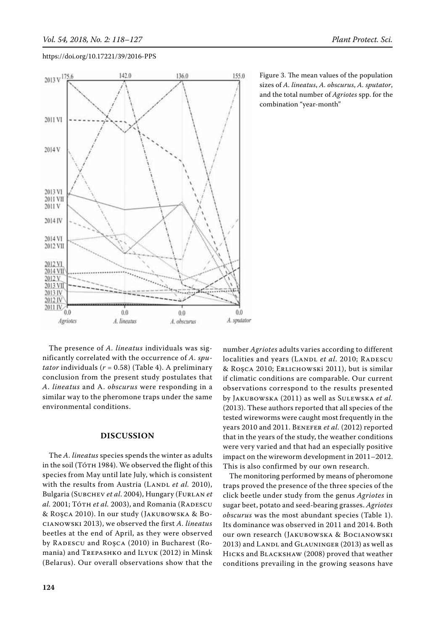

Figure 3. The mean values of the population sizes of *A. lineatus*, *A. obscurus*, *A. sputator*, and the total number of *Agriotes* spp. for the combination "year-month"

The presence of *A. lineatus* individuals was significantly correlated with the occurrence of *A. sputator* individuals (*r* = 0.58) (Table 4). A preliminary conclusion from the present study postulates that *A. lineatus* and A. *obscurus* were responding in a similar way to the pheromone traps under the same environmental conditions.

## **Discussion**

The *A. lineatus* species spends the winter as adults in the soil (Tóth 1984). We observed the flight of this species from May until late July, which is consistent with the results from Austria (LANDL et al. 2010), Bulgaria (Subchev *et al*. 2004), Hungary (Furlan *et al.* 2001; То́тн *et al.* 2003), and Romania (RADESCU & Roşca 2010). In our study (Jakubowska & Bocianowski 2013), we observed the first *A. lineatus* beetles at the end of April, as they were observed by RADESCU and ROŞCA (2010) in Bucharest (Romania) and Trepashko and Ilyuk (2012) in Minsk (Belarus). Our overall observations show that the

number *Agriotes* adults varies according to different localities and years (LANDL et al. 2010; RADESCU & Roşca 2010; Erlichowski 2011), but is similar if climatic conditions are comparable. Our current observations correspond to the results presented by Jakubowska (2011) as well as Sulewska *et al.* (2013). These authors reported that all species of the tested wireworms were caught most frequently in the years 2010 and 2011. BENEFER et al. (2012) reported that in the years of the study, the weather conditions were very varied and that had an especially positive impact on the wireworm development in 2011–2012. This is also confirmed by our own research.

The monitoring performed by means of pheromone traps proved the presence of the three species of the click beetle under study from the genus *Agriotes* in sugar beet, potato and seed-bearing grasses. *Agriotes obscurus* was the most abundant species (Table 1). Its dominance was observed in 2011 and 2014. Both our own research (Jakubowska & Bocianowski 2013) and LANDL and GLAUNINGER (2013) as well as Hicks and Blackshaw (2008) proved that weather conditions prevailing in the growing seasons have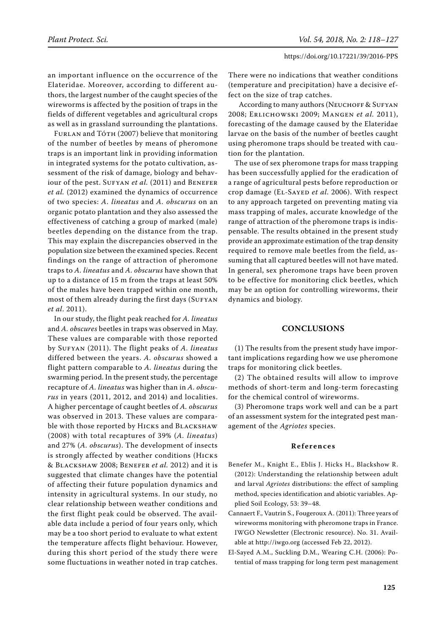an important influence on the occurrence of the Elateridae. Moreover, according to different authors, the largest number of the caught species of the wireworms is affected by the position of traps in the fields of different vegetables and agricultural crops as well as in grassland surrounding the plantations.

FURLAN and TóTH (2007) believe that monitoring of the number of beetles by means of pheromone traps is an important link in providing information in integrated systems for the potato cultivation, assessment of the risk of damage, biology and behaviour of the pest. SUFYAN *et al.* (2011) and BENEFER *et al.* (2012) examined the dynamics of occurrence of two species: *A. lineatus* and *A. obscurus* on an organic potato plantation and they also assessed the effectiveness of catching a group of marked (male) beetles depending on the distance from the trap. This may explain the discrepancies observed in the population size between the examined species. Recent findings on the range of attraction of pheromone traps to *A. lineatus* and *A. obscurus* have shown that up to a distance of 15 m from the traps at least 50% of the males have been trapped within one month, most of them already during the first days (SUFYAN *et al*. 2011).

In our study, the flight peak reached for *A. lineatus* and *A. obscures* beetles in traps was observed in May. These values are comparable with those reported by SUFYAN (2011). The flight peaks of *A. lineatus* differed between the years. *A. obscurus* showed a flight pattern comparable to *A. lineatus* during the swarming period. In the present study, the percentage recapture of *A. lineatus* was higher than in *A. obscurus* in years (2011, 2012, and 2014) and localities. A higher percentage of caught beetles of *A. obscurus* was observed in 2013. These values are comparable with those reported by HICKS and BLACKSHAW (2008) with total recaptures of 39% (*A. lineatus*) and 27% (*A. obscurus*). The development of insects is strongly affected by weather conditions (Hicks & Blackshaw 2008; Benefer *et al.* 2012) and it is suggested that climate changes have the potential of affecting their future population dynamics and intensity in agricultural systems. In our study, no clear relationship between weather conditions and the first flight peak could be observed. The available data include a period of four years only, which may be a too short period to evaluate to what extent the temperature affects flight behaviour. However, during this short period of the study there were some fluctuations in weather noted in trap catches.

There were no indications that weather conditions (temperature and precipitation) have a decisive effect on the size of trap catches.

According to many authors (NEUCHOFF & SUFYAN 2008; Erlichowski 2009; Mangen *et al.* 2011), forecasting of the damage caused by the Elateridae larvae on the basis of the number of beetles caught using pheromone traps should be treated with caution for the plantation.

The use of sex pheromone traps for mass trapping has been successfully applied for the eradication of a range of agricultural pests before reproduction or crop damage (El-Sayed *et al*. 2006). With respect to any approach targeted on preventing mating via mass trapping of males, accurate knowledge of the range of attraction of the pheromone traps is indispensable. The results obtained in the present study provide an approximate estimation of the trap density required to remove male beetles from the field, assuming that all captured beetles will not have mated. In general, sex pheromone traps have been proven to be effective for monitoring click beetles, which may be an option for controlling wireworms, their dynamics and biology.

## **Conclusions**

(1) The results from the present study have important implications regarding how we use pheromone traps for monitoring click beetles.

(2) The obtained results will allow to improve methods of short-term and long-term forecasting for the chemical control of wireworms.

(3) Pheromone traps work well and can be a part of an assessment system for the integrated pest management of the *Agriotes* species.

## **References**

- Benefer M., Knight E., Eblis J. Hicks H., Blackshow R. (2012): Understanding the relationship between adult and larval *Agriotes* distributions: the effect of sampling method, species identification and abiotic variables. Applied Soil Ecology, 53: 39–48.
- Cannaert F., Vautrin S., Fougeroux A. (2011): Three years of wireworms monitoring with pheromone traps in France. IWGO Newsletter (Electronic resource). No. 31. Available at http://iwgo.org (accessed Feb 22, 2012).
- El-Sayed A.M., Suckling D.M., Wearing C.H. (2006): Potential of mass trapping for long term pest management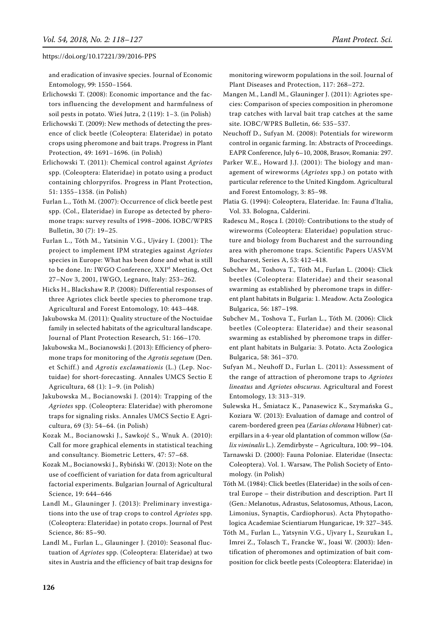and eradication of invasive species. Journal of Economic Entomology, 99: 1550−1564.

Erlichowski T. (2008): Economic importance and the factors influencing the development and harmfulness of soil pests in potato. Wieś Jutra, 2 (119): 1−3. (in Polish)

Erlichowski T. (2009): New methods of detecting the presence of click beetle (Coleoptera: Elateridae) in potato crops using pheromone and bait traps. Progress in Plant Protection, 49: 1691−1696. (in Polish)

Erlichowski T. (2011): Chemical control against *Agriotes*  spp. (Coleoptera: Elateridae) in potato using a product containing chlorpyrifos. Progress in Plant Protection, 51: 1355−1358. (in Polish)

Furlan L., Tóth M. (2007): Occurrence of click beetle pest spp. (Col., Elateridae) in Europe as detected by pheromone traps: survey results of 1998−2006. IOBC/WPRS Bulletin, 30 (7): 19–25.

Furlan L., Tóth M., Yatsinin V.G., Ujváry I. (2001): The project to implement IPM strategies against *Agriotes* species in Europe: What has been done and what is still to be done. In: IWGO Conference, XXI<sup>st</sup> Meeting, Oct 27–Nov 3, 2001, IWGO, Legnaro, Italy: 253–262.

Hicks H., Blackshaw R.P. (2008): Differential responses of three Agriotes click beetle species to pheromone trap. Agricultural and Forest Entomology, 10: 443–448.

Jakubowska M. (2011): Quality structure of the Noctuidae family in selected habitats of the agricultural landscape. Journal of Plant Protection Research, 51: 166–170.

Jakubowska M., Bocianowski J. (2013): Efficiency of pheromone traps for monitoring of the *Agrotis segetum* (Den. et Schiff.) and *Agrotis exclamationis* (L.) (Lep. Noctuidae) for short-forecasting. Annales UMCS Sectio E Agricultura, 68 (1): 1–9. (in Polish)

Jakubowska M., Bocianowski J. (2014): Trapping of the *Agriotes* spp. (Coleoptera: Elateridae) with pheromone traps for signaling risks. Annales UMCS Sectio E Agricultura, 69 (3): 54–64. (in Polish)

Kozak M., Bocianowski J., Sawkojć S., Wnuk A. (2010): Call for more graphical elements in statistical teaching and consultancy. Biometric Letters, 47: 57–68.

Kozak M., Bocianowski J., Rybiński W. (2013): Note on the use of coefficient of variation for data from agricultural factorial experiments. Bulgarian Journal of Agricultural Science, 19: 644–646

Landl M., Glauninger J. (2013): Preliminary investigations into the use of trap crops to control *Agriotes* spp. (Coleoptera: Elateridae) in potato crops. Journal of Pest Science, 86: 85–90.

Landl M., Furlan L., Glauninger J. (2010): Seasonal fluctuation of *Agriotes* spp. (Coleoptera: Elateridae) at two sites in Austria and the efficiency of bait trap designs for monitoring wireworm populations in the soil. Journal of Plant Diseases and Protection, 117: 268–272.

Mangen M., Landl M., Glauninger J. (2011): Agriotes species: Comparison of species composition in pheromone trap catches with larval bait trap catches at the same site. IOBC/WPRS Bulletin, 66: 535−537.

Neuchoff D., Sufyan M. (2008): Potentials for wireworm control in organic farming. In: Abstracts of Proceedings. EAPR Conference, July 6–10, 2008, Brasov, Romania: 297.

Parker W.E., Howard J.J. (2001): The biology and management of wireworms (*Agriotes* spp.) on potato with particular reference to the United Kingdom. Agricultural and Forest Entomology, 3: 85−98.

Platia G. (1994): Coleoptera, Elateridae. In: Fauna d'Italia, Vol. 33. Bologna, Calderini.

Radescu M., Roşca I. (2010): Contributions to the study of wireworms (Coleoptera: Elateridae) population structure and biology from Bucharest and the surrounding area with pheromone traps. Scientific Papers UASVM Bucharest, Series A, 53: 412–418.

Subchev M., Toshova T., Tóth M., Furlan L. (2004): Click beetles (Coleoptera: Elateridae) and their seasonal swarming as established by pheromone traps in different plant habitats in Bulgaria: 1. Meadow. Acta Zoologica Bulgarica, 56: 187–198.

Subchev M., Toshova T., Furlan L., Tóth M. (2006): Click beetles (Coleoptera: Elateridae) and their seasonal swarming as established by pheromone traps in different plant habitats in Bulgaria: 3. Potato. Acta Zoologica Bulgarica, 58: 361–370.

Sufyan M., Neuhoff D., Furlan L. (2011): Assessment of the range of attraction of pheromone traps to *Agriotes lineatus* and *Agriotes obscurus*. Agricultural and Forest Entomology, 13: 313−319.

Sulewska H., Śmiatacz K., Panasewicz K., Szymańska G., Koziara W. (2013): Evaluation of damage and control of carem-bordered green pea (*Earias chlorana* Hübner) caterpillars in a 4-year old plantation of common willow (*Salix viminalis* L.). Zemdirbyste – Agricultura, 100: 99–104.

Tarnawski D. (2000): Fauna Poloniae. Elateridae (Insecta: Coleoptera). Vol. 1. Warsaw, The Polish Society of Entomology. (in Polish)

Tóth M. (1984): Click beetles (Elateridae) in the soils of central Europe – their distribution and description. Part II (Gen.: Melanotus, Adrastus, Selatosomus, Athous, Lacon, Limonius, Synaptis, Cardiophorus). Acta Phytopathologica Academiae Scientiarum Hungaricae, 19: 327–345.

Tóth M., Furlan L., Yatsynin V.G., Ujvary I., Szurukan I., Imrei Z., Tolasch T., Francke W., Joasi W. (2003): Identification of pheromones and optimization of bait composition for click beetle pests (Coleoptera: Elateridae) in